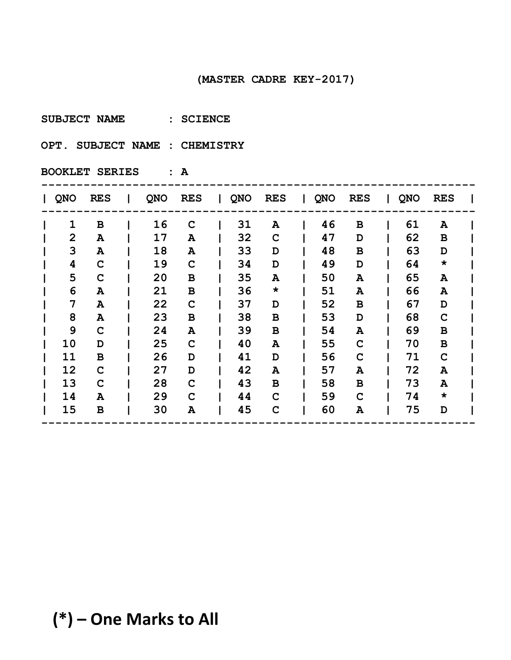**SUBJECT NAME : SCIENCE** 

**OPT. SUBJECT NAME : CHEMISTRY** 

| QNO            | <b>RES</b>  | <b>QNO</b> | <b>RES</b>  | $\mathbf{L}$ | <b>QNO</b> | <b>RES</b>  | L | QNO | <b>RES</b>  | <b>QNO</b> | <b>RES</b>                |  |
|----------------|-------------|------------|-------------|--------------|------------|-------------|---|-----|-------------|------------|---------------------------|--|
| 1              | $\mathbf B$ | 16         | $\mathbf C$ |              | 31         | A           |   | 46  | $\mathbf B$ | 61         | A                         |  |
| $\overline{2}$ | A           | 17         | A           |              | 32         | $\mathbf C$ |   | 47  | D           | 62         | В                         |  |
| 3              | Α           | 18         | A           |              | 33         | D           |   | 48  | B           | 63         | D                         |  |
| 4              | C           | 19         | C           |              | 34         | D           |   | 49  | D           | 64         | $\star$                   |  |
| 5              | $\mathbf C$ | 20         | в           |              | 35         | A           |   | 50  | ${\bf A}$   | 65         | $\boldsymbol{\mathsf{A}}$ |  |
| 6              | Α           | 21         | $\mathbf B$ |              | 36         | $\star$     |   | 51  | A           | 66         | A                         |  |
| 7              | Α           | 22         | $\mathbf C$ |              | 37         | D           |   | 52  | B           | 67         | D                         |  |
| 8              | Α           | 23         | в           |              | 38         | $\mathbf B$ |   | 53  | D           | 68         | $\mathbf C$               |  |
| 9              | $\mathbf C$ | 24         | A           |              | 39         | B           |   | 54  | A           | 69         | В                         |  |
| 10             | D           | 25         | C           |              | 40         | A           |   | 55  | $\mathbf C$ | 70         | $\, {\bf B}$              |  |
| 11             | B           | 26         | D           |              | 41         | D           |   | 56  | $\mathbf C$ | 71         | $\mathbf C$               |  |
| 12             | $\mathbf C$ | 27         | D           |              | 42         | A           |   | 57  | Α           | 72         | A                         |  |
| 13             | C           | 28         | $\mathbf C$ |              | 43         | в           |   | 58  | в           | 73         | A                         |  |
| 14             | A           | 29         | $\mathbf C$ |              | 44         | C           |   | 59  | $\mathbf C$ | 74         | $\star$                   |  |
| 15             | в           | 30         | A           |              | 45         | C           |   | 60  | Α           | 75         | D                         |  |
|                |             |            |             |              |            |             |   |     |             |            |                           |  |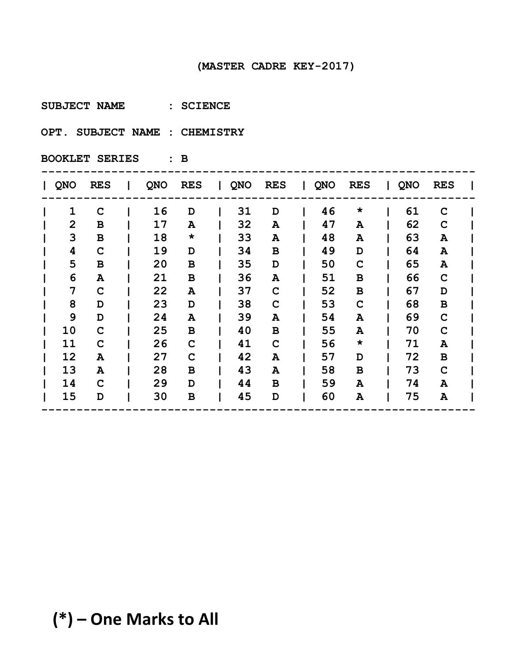**SUBJECT NAME : SCIENCE** 

**OPT. SUBJECT NAME : CHEMISTRY** 

| <b>QNO</b>     | <b>RES</b>  | QNO | <b>RES</b>  | $\mathbf{I}$ | QNO | <b>RES</b>  | <b>QNO</b> | <b>RES</b>  | QNO | <b>RES</b>   |  |
|----------------|-------------|-----|-------------|--------------|-----|-------------|------------|-------------|-----|--------------|--|
| $\mathbf{1}$   | $\mathbf C$ | 16  | D           |              | 31  | D           | 46         | $\star$     | 61  | C            |  |
| $\overline{2}$ | В           | 17  | A           |              | 32  | Α           | 47         | Α           | 62  | C            |  |
| 3              | $\mathbf B$ | 18  | $\star$     |              | 33  | Α           | 48         | A           | 63  | A            |  |
| 4              | $\mathbf C$ | 19  | D           |              | 34  | в           | 49         | D           | 64  | A            |  |
| 5              | в           | 20  | В           |              | 35  | D           | 50         | $\mathbf C$ | 65  | A            |  |
| 6              | A           | 21  | B           |              | 36  | A           | 51         | B           | 66  | $\mathbf C$  |  |
| 7              | $\mathbf C$ | 22  | Α           |              | 37  | C           | 52         | $\mathbf B$ | 67  | D            |  |
| 8              | D           | 23  | D           |              | 38  | $\mathbf C$ | 53         | $\mathbf C$ | 68  | $\, {\bf B}$ |  |
| 9              | D           | 24  | A           |              | 39  | A           | 54         | A           | 69  | $\mathbf C$  |  |
| 10             | C           | 25  | B           |              | 40  | B           | 55         | A           | 70  | $\mathbf C$  |  |
| 11             | C           | 26  | $\mathbf C$ |              | 41  | $\mathbf C$ | 56         | $\star$     | 71  | A            |  |
| 12             | A           | 27  | C           |              | 42  | A           | 57         | D           | 72  | В            |  |
| 13             | A           | 28  | B           |              | 43  | A           | 58         | B           | 73  | $\mathbf C$  |  |
| 14             | C           | 29  | D           |              | 44  | B           | 59         | A           | 74  | A            |  |
| 15             | D           | 30  | B           |              | 45  | D           | 60         | A           | 75  | A            |  |
|                |             |     |             |              |     |             |            |             |     |              |  |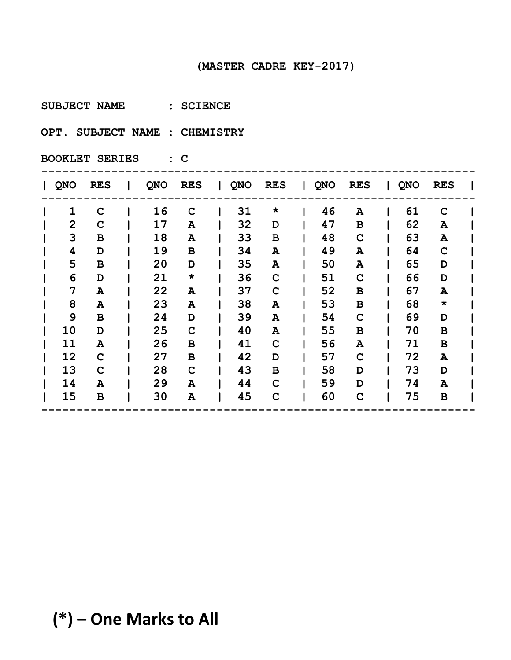**SUBJECT NAME : SCIENCE** 

**OPT. SUBJECT NAME : CHEMISTRY** 

| <b>QNO</b>     | <b>RES</b>  | QNO | <b>RES</b>  | $\mathbf{L}$ | <b>QNO</b> | <b>RES</b>  | QNO | <b>RES</b>   | QNO | <b>RES</b>  |  |
|----------------|-------------|-----|-------------|--------------|------------|-------------|-----|--------------|-----|-------------|--|
| $\mathbf{1}$   | $\mathbf C$ | 16  | $\mathbf C$ |              | 31         | $\star$     | 46  | A            | 61  | $\mathbf C$ |  |
| $\overline{2}$ | C           | 17  | A           |              | 32         | D           | 47  | $\mathbf B$  | 62  | A           |  |
| 3              | B           | 18  | A           |              | 33         | B           | 48  | $\mathbf C$  | 63  | A           |  |
| 4              | D           | 19  | В           |              | 34         | Α           | 49  | A            | 64  | $\mathbf C$ |  |
| 5              | B           | 20  | D           |              | 35         | A           | 50  | A            | 65  | D           |  |
| 6              | D           | 21  | $\star$     |              | 36         | $\mathbf C$ | 51  | $\mathbf C$  | 66  | D           |  |
| 7              | Α           | 22  | A           |              | 37         | $\mathbf C$ | 52  | $\, {\bf B}$ | 67  | A           |  |
| 8              | Α           | 23  | A           |              | 38         | Α           | 53  | $\, {\bf B}$ | 68  | $\star$     |  |
| 9              | B           | 24  | D           |              | 39         | A           | 54  | $\mathbf C$  | 69  | D           |  |
| 10             | D           | 25  | $\mathbf C$ |              | 40         | Α           | 55  | B            | 70  | В           |  |
| 11             | Α           | 26  | B           |              | 41         | $\mathbf C$ | 56  | A            | 71  | $\mathbf B$ |  |
| 12             | $\mathbf C$ | 27  | B           |              | 42         | D           | 57  | $\mathbf C$  | 72  | A           |  |
| 13             | $\mathbf C$ | 28  | $\mathbf C$ |              | 43         | B           | 58  | D            | 73  | D           |  |
| 14             | A           | 29  | A           |              | 44         | C           | 59  | D            | 74  | A           |  |
| 15             | B           | 30  | A           |              | 45         | $\mathbf C$ | 60  | $\mathbf C$  | 75  | В           |  |
|                |             |     |             |              |            |             |     |              |     |             |  |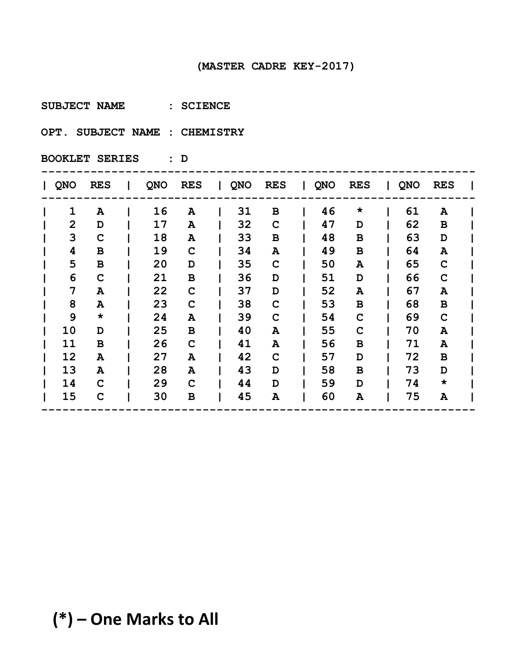**SUBJECT NAME : SCIENCE** 

**OPT. SUBJECT NAME : CHEMISTRY** 

| <b>QNO</b>     | <b>RES</b>   | <b>QNO</b> | <b>RES</b>  | $\mathbf{L}$ | QNO | <b>RES</b>  | QNO | <b>RES</b>      | QNO | <b>RES</b>   |  |
|----------------|--------------|------------|-------------|--------------|-----|-------------|-----|-----------------|-----|--------------|--|
| $\mathbf{1}$   | A            | 16         | A           |              | 31  | B           | 46  | $\star$         | 61  | A            |  |
| $\overline{2}$ | D            | 17         | A           |              | 32  | $\mathbf C$ | 47  | D               | 62  | $\mathbf B$  |  |
| 3              | C            | 18         | A           |              | 33  | в           | 48  | $\mathbf B$     | 63  | D            |  |
| 4              | B            | 19         | $\mathbf C$ |              | 34  | Α           | 49  | $\, {\bf B}$    | 64  | A            |  |
| 5              | $\, {\bf B}$ | 20         | D           |              | 35  | C           | 50  | A               | 65  | C            |  |
| 6              | C            | 21         | $\mathbf B$ |              | 36  | D           | 51  | D               | 66  | $\mathbf C$  |  |
| 7              | A            | 22         | $\mathbf C$ |              | 37  | D           | 52  | ${\bf A}$       | 67  | A            |  |
| 8              | A            | 23         | $\mathbf C$ |              | 38  | C           | 53  | $\, {\bf B}$    | 68  | $\, {\bf B}$ |  |
| 9              | $\star$      | 24         | A           |              | 39  | C           | 54  | $\mathbf C$     | 69  | C            |  |
| 10             | D            | 25         | В           |              | 40  | A           | 55  | $\mathbf C$     | 70  | A            |  |
| 11             | В            | 26         | $\mathbf C$ |              | 41  | Α           | 56  | $\, {\bf B} \,$ | 71  | Α            |  |
| 12             | A            | 27         | A           |              | 42  | C           | 57  | D               | 72  | В            |  |
| 13             | $\mathbf{A}$ | 28         | A           |              | 43  | D           | 58  | B               | 73  | D            |  |
| 14             | C            | 29         | $\mathbf C$ |              | 44  | D           | 59  | D               | 74  | $\star$      |  |
| 15             | $\mathbf C$  | 30         | B           |              | 45  | A           | 60  | A               | 75  | A            |  |
|                |              |            |             |              |     |             |     |                 |     |              |  |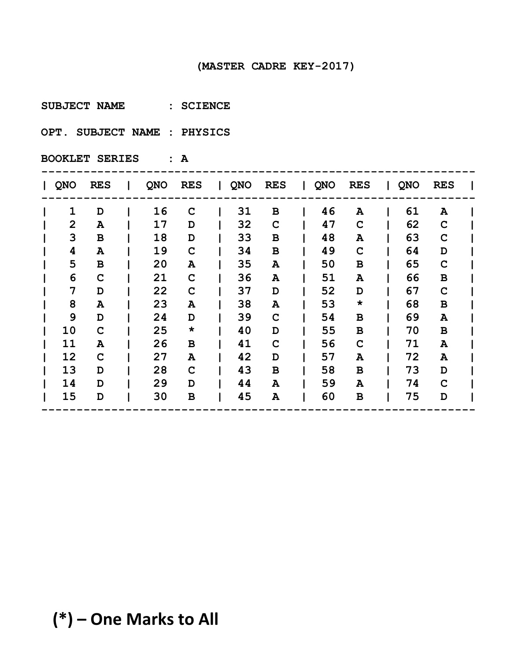**SUBJECT NAME : SCIENCE** 

**OPT. SUBJECT NAME : PHYSICS** 

**BOOKLET SERIES : A**

| <b>QNO</b>     | <b>RES</b>  | QNO | <b>RES</b>   | $\mathbf{I}$ | QNO | <b>RES</b>  | <b>QNO</b> | <b>RES</b>  | QNO | <b>RES</b>   |  |
|----------------|-------------|-----|--------------|--------------|-----|-------------|------------|-------------|-----|--------------|--|
| $\mathbf{1}$   | D           | 16  | $\mathbf C$  |              | 31  | B           | 46         | A           | 61  | A            |  |
| $\overline{2}$ | A           | 17  | D            |              | 32  | $\mathbf C$ | 47         | $\mathbf C$ | 62  | $\mathbf C$  |  |
| 3              | в           | 18  | D            |              | 33  | B           | 48         | A           | 63  | $\mathbf C$  |  |
| 4              | A           | 19  | $\mathbf C$  |              | 34  | B           | 49         | $\mathbf C$ | 64  | D            |  |
| 5              | в           | 20  | A            |              | 35  | A           | 50         | В           | 65  | $\mathbf C$  |  |
| 6              | C           | 21  | $\mathbf C$  |              | 36  | Α           | 51         | A           | 66  | $\, {\bf B}$ |  |
| 7              | D           | 22  | $\mathbf C$  |              | 37  | D           | 52         | D           | 67  | $\mathbf C$  |  |
| 8              | A           | 23  | Α            |              | 38  | A           | 53         | $\star$     | 68  | $\, {\bf B}$ |  |
| 9              | D           | 24  | D            |              | 39  | C           | 54         | $\mathbf B$ | 69  | A            |  |
| 10             | $\mathbf C$ | 25  | $\star$      |              | 40  | D           | 55         | В           | 70  | B            |  |
| 11             | A           | 26  | $\, {\bf B}$ |              | 41  | C           | 56         | $\mathbf C$ | 71  | A            |  |
| 12             | C           | 27  | A            |              | 42  | D           | 57         | A           | 72  | A            |  |
| 13             | D           | 28  | $\mathbf C$  |              | 43  | B           | 58         | B           | 73  | D            |  |
| 14             | D           | 29  | D            |              | 44  | A           | 59         | A           | 74  | $\mathbf C$  |  |
| 15             | D           | 30  | B            |              | 45  | A           | 60         | B           | 75  | D            |  |
|                |             |     |              |              |     |             |            |             |     |              |  |

# **(\*) – One Marks to All**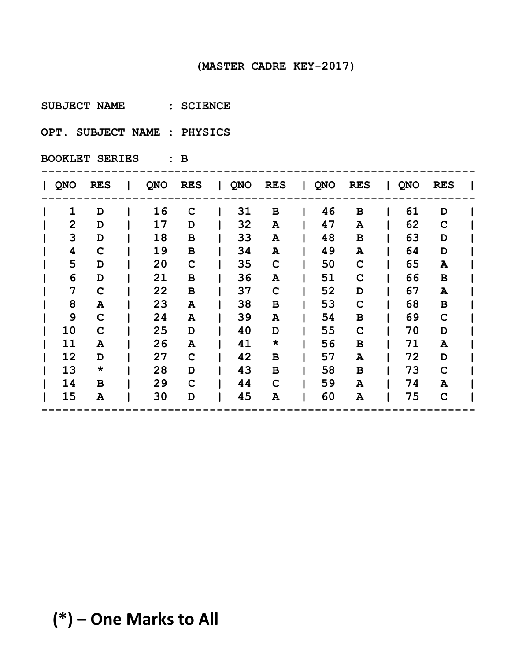**SUBJECT NAME : SCIENCE** 

**OPT. SUBJECT NAME : PHYSICS** 

| <b>QNO</b>     | <b>RES</b>  | QNO | <b>RES</b>   | $\mathbf{I}$ | QNO | <b>RES</b>  | $\mathbf{I}$ | <b>QNO</b> | <b>RES</b>  | QNO | <b>RES</b>  |  |
|----------------|-------------|-----|--------------|--------------|-----|-------------|--------------|------------|-------------|-----|-------------|--|
| $\mathbf{1}$   | D           | 16  | $\mathbf C$  |              | 31  | B           |              | 46         | $\mathbf B$ | 61  | D           |  |
| $\overline{2}$ | D           | 17  | D            |              | 32  | Α           |              | 47         | A           | 62  | $\mathbf C$ |  |
| 3              | D           | 18  | B            |              | 33  | Α           |              | 48         | $\mathbf B$ | 63  | D           |  |
| 4              | C           | 19  | B            |              | 34  | A           |              | 49         | A           | 64  | D           |  |
| 5              | D           | 20  | $\mathbf C$  |              | 35  | $\mathbf C$ |              | 50         | $\mathbf C$ | 65  | A           |  |
| 6              | D           | 21  | B            |              | 36  | A           |              | 51         | $\mathbf C$ | 66  | $\mathbf B$ |  |
| 7              | $\mathbf C$ | 22  | $\, {\bf B}$ |              | 37  | C           |              | 52         | D           | 67  | A           |  |
| 8              | A           | 23  | A            |              | 38  | В           |              | 53         | $\mathbf C$ | 68  | $\mathbf B$ |  |
| 9              | C           | 24  | Α            |              | 39  | A           |              | 54         | B           | 69  | $\mathbf C$ |  |
| 10             | C           | 25  | D            |              | 40  | D           |              | 55         | $\mathbf C$ | 70  | D           |  |
| 11             | A           | 26  | Α            |              | 41  | $\star$     |              | 56         | $\mathbf B$ | 71  | A           |  |
| 12             | D           | 27  | C            |              | 42  | B           |              | 57         | A           | 72  | D           |  |
| 13             | $\star$     | 28  | D            |              | 43  | B           |              | 58         | B           | 73  | $\mathbf C$ |  |
| 14             | B           | 29  | C            |              | 44  | C           |              | 59         | A           | 74  | A           |  |
| 15             | A           | 30  | D            |              | 45  | A           |              | 60         | A           | 75  | $\mathbf C$ |  |
|                |             |     |              |              |     |             |              |            |             |     |             |  |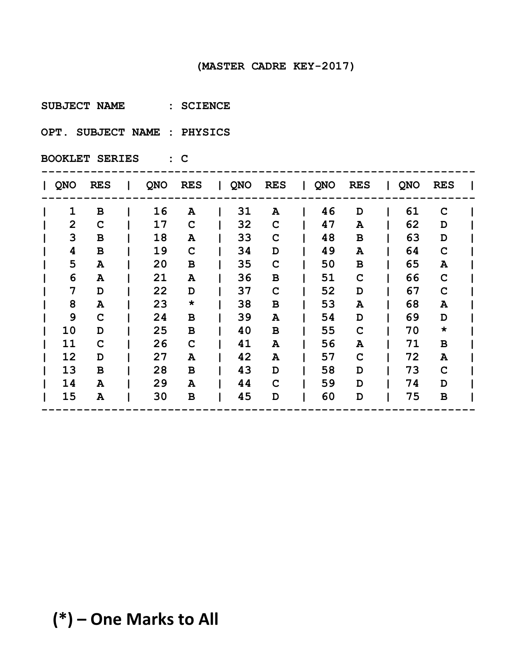**SUBJECT NAME : SCIENCE** 

**OPT. SUBJECT NAME : PHYSICS** 

| QNO            | <b>RES</b>  | <b>QNO</b> | <b>RES</b>  | $\mathbf{1}$ | QNO | <b>RES</b>  | Ι. | QNO | <b>RES</b>  | QNO | <b>RES</b>  |  |
|----------------|-------------|------------|-------------|--------------|-----|-------------|----|-----|-------------|-----|-------------|--|
| 1              | B           | 16         | A           |              | 31  | A           |    | 46  | D           | 61  | $\mathbf C$ |  |
| $\overline{2}$ | $\mathbf C$ | 17         | $\mathbf C$ |              | 32  | $\mathbf C$ |    | 47  | A           | 62  | D           |  |
| 3              | B           | 18         | A           |              | 33  | C           |    | 48  | в           | 63  | D           |  |
| 4              | B           | 19         | $\mathbf C$ |              | 34  | D           |    | 49  | A           | 64  | $\mathbf C$ |  |
| 5              | A           | 20         | B           |              | 35  | C           |    | 50  | B           | 65  | A           |  |
| 6              | A           | 21         | A           |              | 36  | в           |    | 51  | $\mathbf C$ | 66  | $\mathbf C$ |  |
| 7              | D           | 22         | D           |              | 37  | $\mathbf C$ |    | 52  | D           | 67  | $\mathbf C$ |  |
| 8              | A           | 23         | $\star$     |              | 38  | в           |    | 53  | A           | 68  | A           |  |
| 9              | C           | 24         | B           |              | 39  | A           |    | 54  | D           | 69  | D           |  |
| 10             | D           | 25         | B           |              | 40  | в           |    | 55  | $\mathbf C$ | 70  | $\star$     |  |
| 11             | $\mathbf C$ | 26         | $\mathbf C$ |              | 41  | A           |    | 56  | Α           | 71  | B           |  |
| 12             | D           | 27         | A           |              | 42  | A           |    | 57  | $\mathbf C$ | 72  | A           |  |
| 13             | B           | 28         | B           |              | 43  | D           |    | 58  | D           | 73  | $\mathbf C$ |  |
| 14             | A           | 29         | A           |              | 44  | C           |    | 59  | D           | 74  | D           |  |
| 15             | A           | 30         | В           |              | 45  | D           |    | 60  | D           | 75  | B           |  |
|                |             |            |             |              |     |             |    |     |             |     |             |  |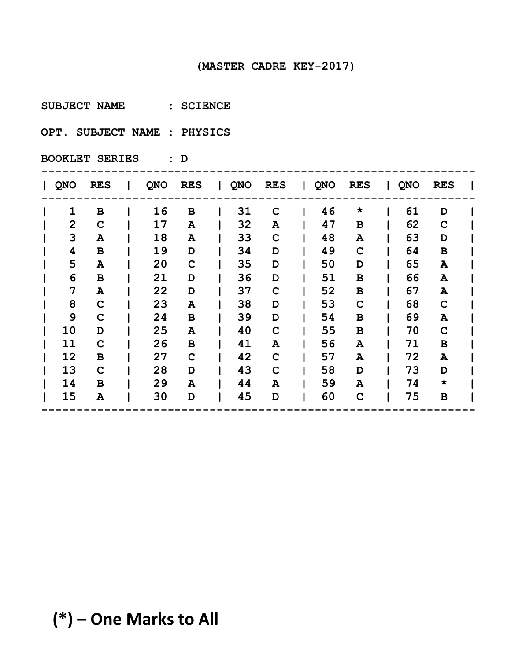**SUBJECT NAME : SCIENCE** 

**OPT. SUBJECT NAME : PHYSICS** 

| <b>QNO</b>     | <b>RES</b>  | QNO | <b>RES</b>  | $\mathbf{I}$ | QNO | <b>RES</b>  | <b>QNO</b> | <b>RES</b>  | QNO | <b>RES</b>  |  |
|----------------|-------------|-----|-------------|--------------|-----|-------------|------------|-------------|-----|-------------|--|
| $\mathbf{1}$   | в           | 16  | B           |              | 31  | C           | 46         | $\star$     | 61  | D           |  |
| $\overline{2}$ | $\mathbf C$ | 17  | A           |              | 32  | A           | 47         | $\mathbf B$ | 62  | $\mathbf C$ |  |
| 3              | A           | 18  | Α           |              | 33  | C           | 48         | A           | 63  | D           |  |
| 4              | в           | 19  | D           |              | 34  | D           | 49         | $\mathbf C$ | 64  | $\mathbf B$ |  |
| 5              | A           | 20  | $\mathbf C$ |              | 35  | D           | 50         | D           | 65  | A           |  |
| 6              | в           | 21  | D           |              | 36  | D           | 51         | $\mathbf B$ | 66  | A           |  |
| 7              | A           | 22  | D           |              | 37  | C           | 52         | $\mathbf B$ | 67  | A           |  |
| 8              | $\mathbf C$ | 23  | A           |              | 38  | D           | 53         | $\mathbf C$ | 68  | $\mathbf C$ |  |
| 9              | $\mathbf C$ | 24  | B           |              | 39  | D           | 54         | B           | 69  | A           |  |
| 10             | D           | 25  | A           |              | 40  | C           | 55         | В           | 70  | $\mathbf C$ |  |
| 11             | $\mathbf C$ | 26  | B           |              | 41  | A           | 56         | ${\bf A}$   | 71  | В           |  |
| 12             | в           | 27  | $\mathbf C$ |              | 42  | C           | 57         | A           | 72  | A           |  |
| 13             | $\mathbf C$ | 28  | D           |              | 43  | $\mathbf C$ | 58         | D           | 73  | D           |  |
| 14             | B           | 29  | A           |              | 44  | A           | 59         | A           | 74  | $\star$     |  |
| 15             | A           | 30  | D           |              | 45  | D           | 60         | $\mathbf C$ | 75  | В           |  |
|                |             |     |             |              |     |             |            |             |     |             |  |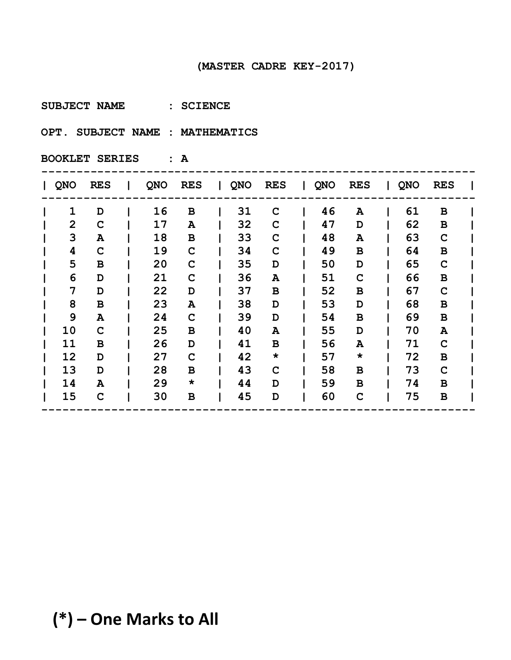**SUBJECT NAME : SCIENCE** 

**OPT. SUBJECT NAME : MATHEMATICS**

| <b>QNO</b>     | <b>RES</b>  | QNO | <b>RES</b>  | $\mathbf{I}$ | QNO | <b>RES</b>  | <b>QNO</b> | <b>RES</b>  | QNO | <b>RES</b>   |  |
|----------------|-------------|-----|-------------|--------------|-----|-------------|------------|-------------|-----|--------------|--|
| $\mathbf{1}$   | D           | 16  | B           |              | 31  | C           | 46         | A           | 61  | В            |  |
| $\overline{2}$ | $\mathbf C$ | 17  | A           |              | 32  | $\mathbf C$ | 47         | D           | 62  | $\mathbf B$  |  |
| 3              | A           | 18  | B           |              | 33  | $\mathbf C$ | 48         | A           | 63  | $\mathbf C$  |  |
| 4              | $\mathbf C$ | 19  | $\mathbf C$ |              | 34  | $\mathbf C$ | 49         | B           | 64  | $\mathbf B$  |  |
| 5              | в           | 20  | C           |              | 35  | D           | 50         | D           | 65  | $\mathbf C$  |  |
| 6              | D           | 21  | $\mathbf C$ |              | 36  | Α           | 51         | $\mathbf C$ | 66  | $\mathbf B$  |  |
| 7              | D           | 22  | D           |              | 37  | B           | 52         | В           | 67  | $\mathbf C$  |  |
| 8              | $\mathbf B$ | 23  | A           |              | 38  | D           | 53         | D           | 68  | $\, {\bf B}$ |  |
| 9              | A           | 24  | $\mathbf C$ |              | 39  | D           | 54         | B           | 69  | В            |  |
| 10             | C           | 25  | B           |              | 40  | A           | 55         | D           | 70  | A            |  |
| 11             | в           | 26  | D           |              | 41  | В           | 56         | A           | 71  | $\mathbf C$  |  |
| 12             | D           | 27  | $\mathbf C$ |              | 42  | $\star$     | 57         | $\star$     | 72  | В            |  |
| 13             | D           | 28  | B           |              | 43  | $\mathbf C$ | 58         | B           | 73  | $\mathbf C$  |  |
| 14             | A           | 29  | $\star$     |              | 44  | D           | 59         | B           | 74  | В            |  |
| 15             | C           | 30  | B           |              | 45  | D           | 60         | $\mathbf C$ | 75  | В            |  |
|                |             |     |             |              |     |             |            |             |     |              |  |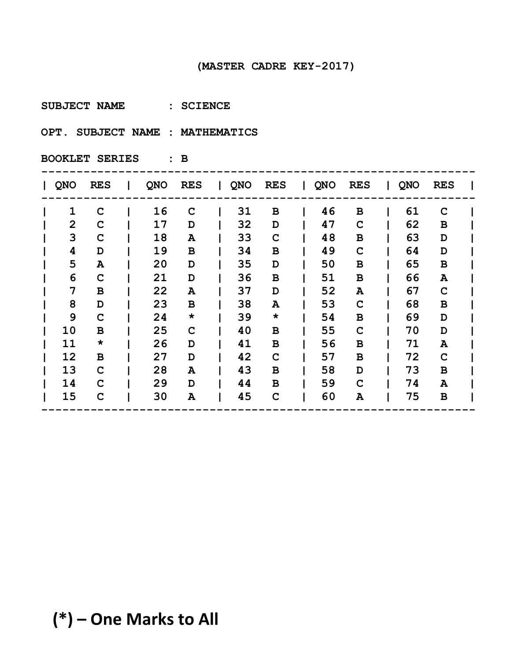**SUBJECT NAME : SCIENCE** 

**OPT. SUBJECT NAME : MATHEMATICS**

**BOOKLET SERIES : B**

| QNO            | <b>RES</b>  | QNO | <b>RES</b>  | QNO | <b>RES</b>   | $\mathbf{L}$ | QNO | <b>RES</b>  | QNO | <b>RES</b>   |  |
|----------------|-------------|-----|-------------|-----|--------------|--------------|-----|-------------|-----|--------------|--|
| $\mathbf{1}$   | $\mathbf C$ | 16  | $\mathbf C$ | 31  | $\, {\bf B}$ |              | 46  | $\mathbf B$ | 61  | $\mathbf C$  |  |
| $\overline{2}$ | C           | 17  | D           | 32  | D            |              | 47  | $\mathbf C$ | 62  | B            |  |
| 3              | C           | 18  | A           | 33  | C            |              | 48  | B           | 63  | D            |  |
| 4              | D           | 19  | В           | 34  | B            |              | 49  | $\mathbf C$ | 64  | D            |  |
| 5              | A           | 20  | D           | 35  | D            |              | 50  | B           | 65  | B            |  |
| 6              | C           | 21  | D           | 36  | $\, {\bf B}$ |              | 51  | B           | 66  | A            |  |
| 7              | B           | 22  | A           | 37  | D            |              | 52  | Α           | 67  | C            |  |
| 8              | D           | 23  | В           | 38  | A            |              | 53  | $\mathbf C$ | 68  | $\, {\bf B}$ |  |
| 9              | $\mathbf C$ | 24  | $\star$     | 39  | $\star$      |              | 54  | B           | 69  | D            |  |
| 10             | B           | 25  | $\mathbf C$ | 40  | в            |              | 55  | $\mathbf C$ | 70  | D            |  |
| 11             | $\star$     | 26  | D           | 41  | B            |              | 56  | B           | 71  | A            |  |
| 12             | $\mathbf B$ | 27  | D           | 42  | $\mathbf C$  |              | 57  | B           | 72  | $\mathbf C$  |  |
| 13             | $\mathbf C$ | 28  | Α           | 43  | B            |              | 58  | D           | 73  | B            |  |
| 14             | C           | 29  | D           | 44  | B            |              | 59  | $\mathbf C$ | 74  | A            |  |
| 15             | $\mathbf C$ | 30  | Α           | 45  | $\mathbf C$  |              | 60  | A           | 75  | $\, {\bf B}$ |  |
|                |             |     |             |     |              |              |     |             |     |              |  |

# **(\*) – One Marks to All**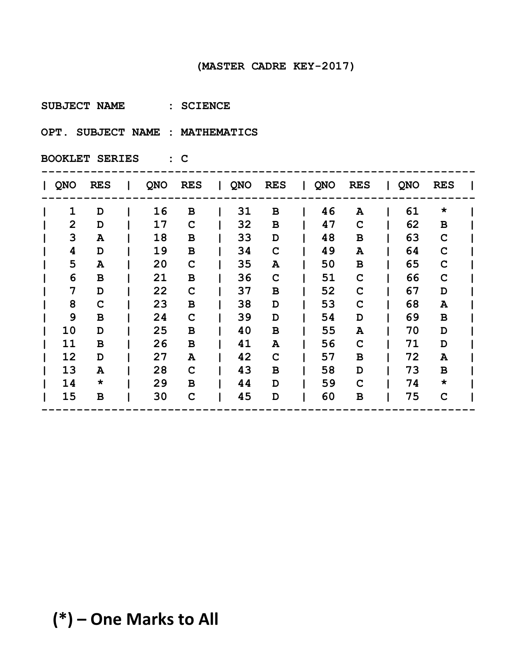**SUBJECT NAME : SCIENCE** 

**OPT. SUBJECT NAME : MATHEMATICS**

| <b>QNO</b>     | <b>RES</b>   | <b>QNO</b> | <b>RES</b>   | $\mathbf{L}$ | <b>QNO</b> | <b>RES</b>  | QNO | <b>RES</b>  | QNO | <b>RES</b>  |  |
|----------------|--------------|------------|--------------|--------------|------------|-------------|-----|-------------|-----|-------------|--|
| $\mathbf{1}$   | D            | 16         | В            |              | 31         | B           | 46  | A           | 61  | $\star$     |  |
| $\overline{2}$ | D            | 17         | $\mathbf C$  |              | 32         | B           | 47  | $\mathbf C$ | 62  | B           |  |
| 3              | Α            | 18         | В            |              | 33         | D           | 48  | В           | 63  | $\mathbf C$ |  |
| 4              | D            | 19         | B            |              | 34         | $\mathbf C$ | 49  | A           | 64  | $\mathbf C$ |  |
| 5              | A            | 20         | $\mathbf C$  |              | 35         | A           | 50  | B           | 65  | $\mathbf C$ |  |
| 6              | B            | 21         | B            |              | 36         | $\mathbf C$ | 51  | $\mathbf C$ | 66  | $\mathbf C$ |  |
| 7              | D            | 22         | $\mathbf C$  |              | 37         | в           | 52  | $\mathbf C$ | 67  | D           |  |
| 8              | $\mathbf C$  | 23         | В            |              | 38         | D           | 53  | $\mathbf C$ | 68  | A           |  |
| 9              | B            | 24         | $\mathbf C$  |              | 39         | D           | 54  | D           | 69  | В           |  |
| 10             | D            | 25         | B            |              | 40         | B           | 55  | A           | 70  | D           |  |
| 11             | В            | 26         | $\, {\bf B}$ |              | 41         | Α           | 56  | $\mathbf C$ | 71  | D           |  |
| 12             | D            | 27         | A            |              | 42         | $\mathbf C$ | 57  | B           | 72  | A           |  |
| 13             | A            | 28         | $\mathbf C$  |              | 43         | B           | 58  | D           | 73  | В           |  |
| 14             | $\star$      | 29         | B            |              | 44         | D           | 59  | $\mathbf C$ | 74  | $\star$     |  |
| 15             | $\, {\bf B}$ | 30         | $\mathbf C$  |              | 45         | D           | 60  | B           | 75  | $\mathbf C$ |  |
|                |              |            |              |              |            |             |     |             |     |             |  |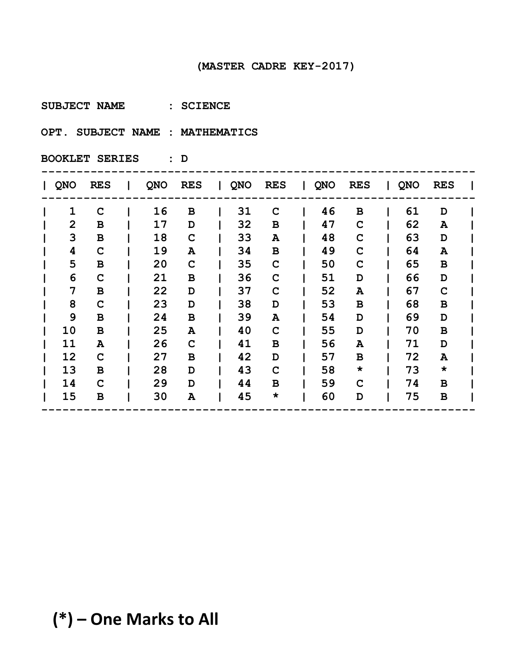**SUBJECT NAME : SCIENCE** 

**OPT. SUBJECT NAME : MATHEMATICS**

| QNO            | <b>RES</b>  | QNO | <b>RES</b>  | $\mathbf{1}$ | QNO | <b>RES</b> | $\Box$ | QNO | <b>RES</b>   | QNO | <b>RES</b> |  |
|----------------|-------------|-----|-------------|--------------|-----|------------|--------|-----|--------------|-----|------------|--|
| $\mathbf 1$    | $\mathbf C$ | 16  | B           |              | 31  | C          |        | 46  | $\mathbf B$  | 61  | D          |  |
| $\overline{2}$ | В           | 17  | D           |              | 32  | в          |        | 47  | $\mathbf C$  | 62  | A          |  |
| 3              | $\mathbf B$ | 18  | $\mathbf C$ |              | 33  | Α          |        | 48  | C            | 63  | D          |  |
| 4              | $\mathbf C$ | 19  | Α           |              | 34  | в          |        | 49  | $\mathbf C$  | 64  | A          |  |
| 5              | в           | 20  | $\mathbf C$ |              | 35  | C          |        | 50  | $\mathbf C$  | 65  | B          |  |
| 6              | C           | 21  | В           |              | 36  | C          |        | 51  | D            | 66  | D          |  |
| 7              | $\mathbf B$ | 22  | D           |              | 37  | C          |        | 52  | A            | 67  | C          |  |
| 8              | C           | 23  | D           |              | 38  | D          |        | 53  | $\, {\bf B}$ | 68  | B          |  |
| 9              | B           | 24  | B           |              | 39  | Α          |        | 54  | D            | 69  | D          |  |
| 10             | в           | 25  | A           |              | 40  | C          |        | 55  | D            | 70  | B          |  |
| 11             | A           | 26  | $\mathbf C$ |              | 41  | в          |        | 56  | A            | 71  | D          |  |
| 12             | $\mathbf C$ | 27  | B           |              | 42  | D          |        | 57  | B            | 72  | A          |  |
| 13             | B           | 28  | D           |              | 43  | C          |        | 58  | $\star$      | 73  | $\star$    |  |
| 14             | C           | 29  | D           |              | 44  | в          |        | 59  | $\mathbf C$  | 74  | B          |  |
| 15             | B           | 30  | Α           |              | 45  | $\star$    |        | 60  | D            | 75  | B          |  |
|                |             |     |             |              |     |            |        |     |              |     |            |  |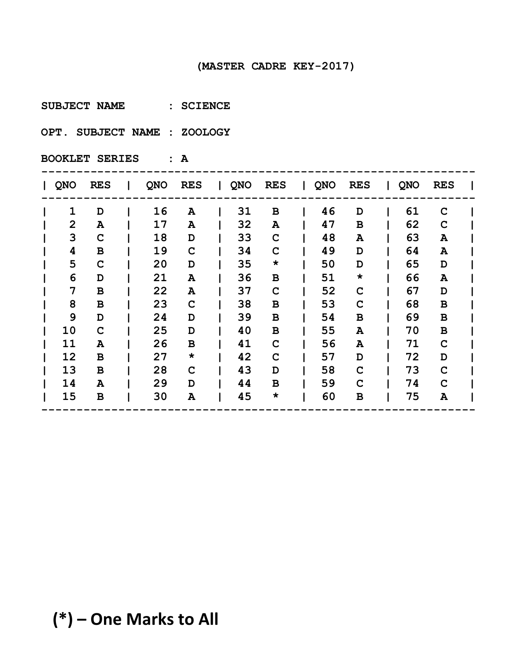**SUBJECT NAME : SCIENCE** 

**OPT. SUBJECT NAME : ZOOLOGY** 

**BOOKLET SERIES : A**

| <b>QNO</b>     | <b>RES</b>  | QNO | <b>RES</b>  | $\mathbf{I}$ | QNO | <b>RES</b>   | $\mathbf{I}$ | <b>QNO</b> | <b>RES</b>  | QNO | <b>RES</b>   |  |
|----------------|-------------|-----|-------------|--------------|-----|--------------|--------------|------------|-------------|-----|--------------|--|
| $\mathbf{1}$   | D           | 16  | A           |              | 31  | B            |              | 46         | D           | 61  | C            |  |
| $\overline{2}$ | A           | 17  | Α           |              | 32  | Α            |              | 47         | $\mathbf B$ | 62  | C            |  |
| 3              | C           | 18  | D           |              | 33  | $\mathbf C$  |              | 48         | A           | 63  | A            |  |
| 4              | в           | 19  | $\mathbf C$ |              | 34  | $\mathbf C$  |              | 49         | D           | 64  | A            |  |
| 5              | $\mathbf C$ | 20  | D           |              | 35  | $\star$      |              | 50         | D           | 65  | D            |  |
| 6              | D           | 21  | A           |              | 36  | $\, {\bf B}$ |              | 51         | $\star$     | 66  | A            |  |
| 7              | $\mathbf B$ | 22  | Α           |              | 37  | C            |              | 52         | $\mathbf C$ | 67  | D            |  |
| 8              | $\mathbf B$ | 23  | $\mathbf C$ |              | 38  | В            |              | 53         | $\mathbf C$ | 68  | $\, {\bf B}$ |  |
| 9              | D           | 24  | D           |              | 39  | B            |              | 54         | B           | 69  | В            |  |
| 10             | $\mathbf C$ | 25  | D           |              | 40  | B            |              | 55         | A           | 70  | В            |  |
| 11             | A           | 26  | B           |              | 41  | $\mathbf C$  |              | 56         | A           | 71  | $\mathbf C$  |  |
| 12             | в           | 27  | $\star$     |              | 42  | $\mathbf C$  |              | 57         | D           | 72  | D            |  |
| 13             | B           | 28  | C           |              | 43  | D            |              | 58         | $\mathbf C$ | 73  | $\mathbf C$  |  |
| 14             | ${\bf A}$   | 29  | D           |              | 44  | B            |              | 59         | $\mathbf C$ | 74  | C            |  |
| 15             | B           | 30  | Α           |              | 45  | $\star$      |              | 60         | B           | 75  | A            |  |
|                |             |     |             |              |     |              |              |            |             |     |              |  |

# **(\*) – One Marks to All**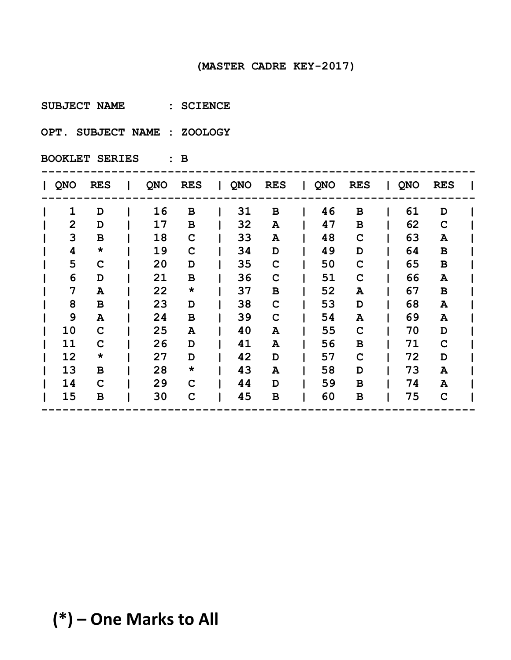**SUBJECT NAME : SCIENCE** 

**OPT. SUBJECT NAME : ZOOLOGY** 

| QNO            | <b>RES</b>  | <b>QNO</b> | <b>RES</b>  | $\mathbf{1}$ | QNO | <b>RES</b> | Ι. | QNO | <b>RES</b>   | QNO | <b>RES</b>  |  |
|----------------|-------------|------------|-------------|--------------|-----|------------|----|-----|--------------|-----|-------------|--|
| 1              | D           | 16         | B           |              | 31  | в          |    | 46  | $\, {\bf B}$ | 61  | D           |  |
| $\overline{2}$ | D           | 17         | B           |              | 32  | A          |    | 47  | $\mathbf B$  | 62  | $\mathbf C$ |  |
| 3              | B           | 18         | $\mathbf C$ |              | 33  | A          |    | 48  | $\mathbf C$  | 63  | A           |  |
| 4              | $\star$     | 19         | $\mathbf C$ |              | 34  | D          |    | 49  | D            | 64  | В           |  |
| 5              | $\mathbf C$ | 20         | D           |              | 35  | C          |    | 50  | $\mathbf C$  | 65  | В           |  |
| 6              | D           | 21         | B           |              | 36  | C          |    | 51  | $\mathbf C$  | 66  | A           |  |
| 7              | A           | 22         | $\star$     |              | 37  | в          |    | 52  | A            | 67  | В           |  |
| 8              | B           | 23         | D           |              | 38  | C          |    | 53  | D            | 68  | A           |  |
| 9              | A           | 24         | B           |              | 39  | C          |    | 54  | A            | 69  | A           |  |
| 10             | C           | 25         | A           |              | 40  | A          |    | 55  | $\mathbf C$  | 70  | D           |  |
| 11             | C           | 26         | D           |              | 41  | A          |    | 56  | В            | 71  | $\mathbf C$ |  |
| 12             | $\star$     | 27         | D           |              | 42  | D          |    | 57  | $\mathbf C$  | 72  | D           |  |
| 13             | B           | 28         | $\star$     |              | 43  | A          |    | 58  | D            | 73  | A           |  |
| 14             | $\mathbf C$ | 29         | $\mathbf C$ |              | 44  | D          |    | 59  | B            | 74  | A           |  |
| 15             | В           | 30         | $\mathbf C$ |              | 45  | B          |    | 60  | В            | 75  | $\mathbf C$ |  |
|                |             |            |             |              |     |            |    |     |              |     |             |  |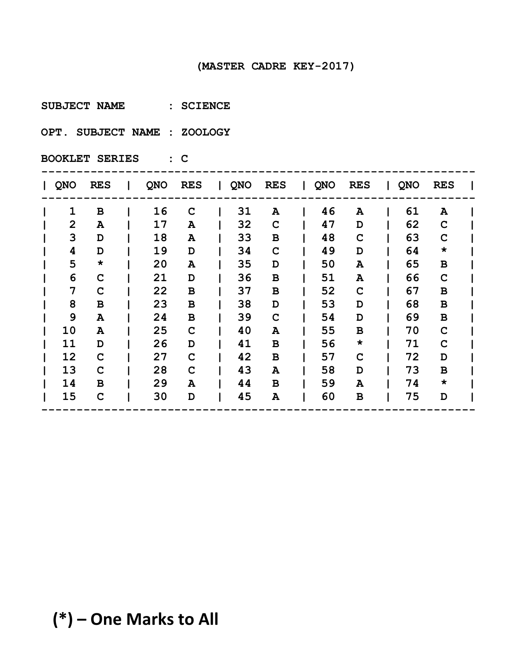**SUBJECT NAME : SCIENCE** 

**OPT. SUBJECT NAME : ZOOLOGY** 

| QNO            | <b>RES</b>  | <b>QNO</b> | <b>RES</b>  | $\mathbf{I}$ | QNO | <b>RES</b>  | $\mathbf{I}$ | QNO | <b>RES</b>  | QNO | <b>RES</b>  |  |
|----------------|-------------|------------|-------------|--------------|-----|-------------|--------------|-----|-------------|-----|-------------|--|
| 1              | B           | 16         | $\mathbf C$ |              | 31  | A           |              | 46  | ${\bf A}$   | 61  | A           |  |
| $\overline{2}$ | A           | 17         | A           |              | 32  | $\mathbf C$ |              | 47  | D           | 62  | $\mathbf C$ |  |
| 3              | D           | 18         | A           |              | 33  | в           |              | 48  | $\mathbf C$ | 63  | $\mathbf C$ |  |
| 4              | D           | 19         | D           |              | 34  | $\mathbf C$ |              | 49  | D           | 64  | $\star$     |  |
| 5              | $\star$     | 20         | A           |              | 35  | D           |              | 50  | A           | 65  | B           |  |
| 6              | C           | 21         | D           |              | 36  | в           |              | 51  | A           | 66  | $\mathbf C$ |  |
| 7              | $\mathbf C$ | 22         | B           |              | 37  | в           |              | 52  | $\mathbf C$ | 67  | В           |  |
| 8              | B           | 23         | B           |              | 38  | D           |              | 53  | D           | 68  | B           |  |
| 9              | A           | 24         | B           |              | 39  | $\mathbf C$ |              | 54  | D           | 69  | B           |  |
| 10             | A           | 25         | $\mathbf C$ |              | 40  | A           |              | 55  | B           | 70  | C           |  |
| 11             | D           | 26         | D           |              | 41  | в           |              | 56  | $\star$     | 71  | $\mathbf C$ |  |
| 12             | $\mathbf C$ | 27         | $\mathbf C$ |              | 42  | в           |              | 57  | $\mathbf C$ | 72  | D           |  |
| 13             | C           | 28         | $\mathbf C$ |              | 43  | A           |              | 58  | D           | 73  | В           |  |
| 14             | B           | 29         | Α           |              | 44  | в           |              | 59  | A           | 74  | $\star$     |  |
| 15             | $\mathbf C$ | 30         | D           |              | 45  | A           |              | 60  | В           | 75  | D           |  |
|                |             |            |             |              |     |             |              |     |             |     |             |  |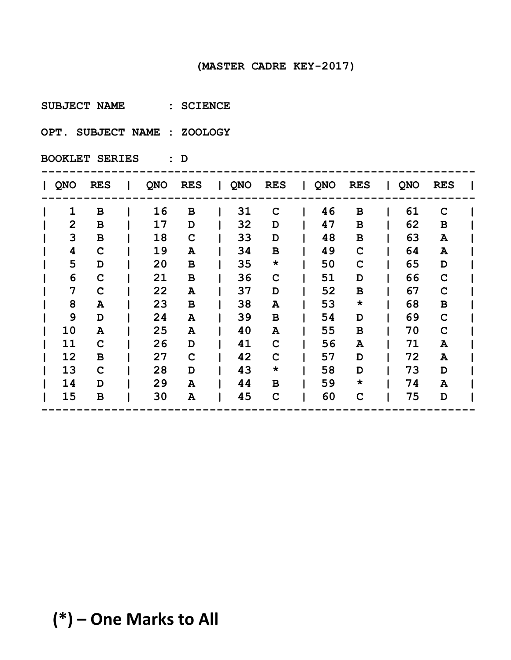**SUBJECT NAME : SCIENCE** 

**OPT. SUBJECT NAME : ZOOLOGY** 

| <b>QNO</b>     | <b>RES</b>  | QNO | <b>RES</b>  | $\mathbf{I}$ | QNO | <b>RES</b>  | <b>QNO</b> | <b>RES</b>  | QNO | <b>RES</b>   |  |
|----------------|-------------|-----|-------------|--------------|-----|-------------|------------|-------------|-----|--------------|--|
| $\mathbf{1}$   | в           | 16  | B           |              | 31  | C           | 46         | $\mathbf B$ | 61  | $\mathbf C$  |  |
| $\overline{2}$ | В           | 17  | D           |              | 32  | D           | 47         | $\mathbf B$ | 62  | В            |  |
| 3              | $\mathbf B$ | 18  | $\mathbf C$ |              | 33  | D           | 48         | $\mathbf B$ | 63  | A            |  |
| 4              | C           | 19  | Α           |              | 34  | B           | 49         | $\mathbf C$ | 64  | A            |  |
| 5              | D           | 20  | B           |              | 35  | $\star$     | 50         | $\mathbf C$ | 65  | D            |  |
| 6              | C           | 21  | B           |              | 36  | $\mathbf C$ | 51         | D           | 66  | $\mathbf C$  |  |
| 7              | C           | 22  | A           |              | 37  | D           | 52         | $\mathbf B$ | 67  | $\mathbf C$  |  |
| 8              | A           | 23  | B           |              | 38  | Α           | 53         | $\star$     | 68  | $\, {\bf B}$ |  |
| 9              | D           | 24  | A           |              | 39  | B           | 54         | D           | 69  | C            |  |
| 10             | A           | 25  | Α           |              | 40  | A           | 55         | B           | 70  | C            |  |
| 11             | C           | 26  | D           |              | 41  | $\mathbf C$ | 56         | A           | 71  | A            |  |
| 12             | в           | 27  | $\mathbf C$ |              | 42  | $\mathbf C$ | 57         | D           | 72  | A            |  |
| 13             | $\mathbf C$ | 28  | D           |              | 43  | $\star$     | 58         | D           | 73  | D            |  |
| 14             | D           | 29  | A           |              | 44  | B           | 59         | $\star$     | 74  | A            |  |
| 15             | в           | 30  | Α           |              | 45  | $\mathbf C$ | 60         | $\mathbf C$ | 75  | D            |  |
|                |             |     |             |              |     |             |            |             |     |              |  |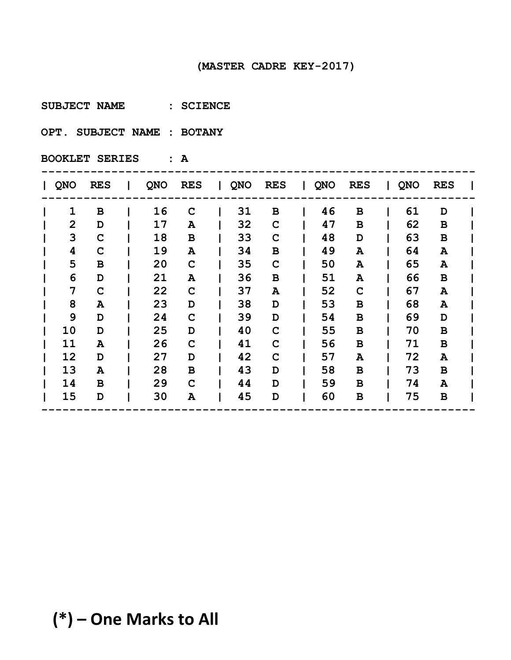**SUBJECT NAME : SCIENCE** 

**OPT. SUBJECT NAME : BOTANY** 

| QNO            | <b>RES</b>  | QNO | <b>RES</b>  | $\mathbf{L}$ | QNO | <b>RES</b>  | <b>QNO</b> | <b>RES</b>  | QNO | <b>RES</b>  |  |
|----------------|-------------|-----|-------------|--------------|-----|-------------|------------|-------------|-----|-------------|--|
| $\mathbf{1}$   | в           | 16  | $\mathbf C$ |              | 31  | B           | 46         | $\mathbf B$ | 61  | D           |  |
| $\overline{2}$ | D           | 17  | A           |              | 32  | $\mathbf C$ | 47         | $\mathbf B$ | 62  | B           |  |
| 3              | $\mathbf C$ | 18  | B           |              | 33  | $\mathbf C$ | 48         | D           | 63  | $\mathbf B$ |  |
| 4              | C           | 19  | Α           |              | 34  | B           | 49         | A           | 64  | A           |  |
| 5              | в           | 20  | $\mathbf C$ |              | 35  | C           | 50         | A           | 65  | A           |  |
| 6              | D           | 21  | A           |              | 36  | B           | 51         | A           | 66  | $\mathbf B$ |  |
| 7              | C           | 22  | $\mathbf C$ |              | 37  | A           | 52         | $\mathbf C$ | 67  | A           |  |
| 8              | A           | 23  | D           |              | 38  | D           | 53         | $\mathbf B$ | 68  | A           |  |
| 9              | D           | 24  | $\mathbf C$ |              | 39  | D           | 54         | B           | 69  | D           |  |
| 10             | D           | 25  | D           |              | 40  | C           | 55         | B           | 70  | B           |  |
| 11             | A           | 26  | $\mathbf C$ |              | 41  | $\mathbf C$ | 56         | $\mathbf B$ | 71  | $\mathbf B$ |  |
| 12             | D           | 27  | D           |              | 42  | C           | 57         | A           | 72  | A           |  |
| 13             | A           | 28  | B           |              | 43  | D           | 58         | B           | 73  | В           |  |
| 14             | B           | 29  | $\mathbf C$ |              | 44  | D           | 59         | B           | 74  | A           |  |
| 15             | D           | 30  | Α           |              | 45  | D           | 60         | B           | 75  | В           |  |
|                |             |     |             |              |     |             |            |             |     |             |  |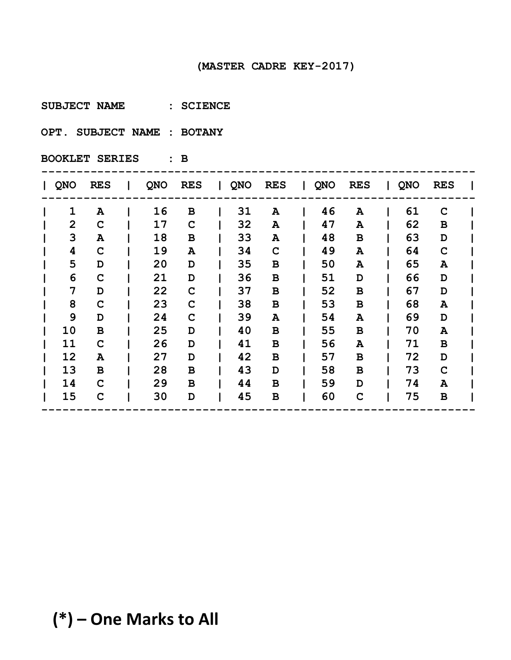**SUBJECT NAME : SCIENCE** 

**OPT. SUBJECT NAME : BOTANY** 

| QNO            | <b>RES</b>  | <b>QNO</b> | <b>RES</b>  | $\mathbf{I}$ | QNO | <b>RES</b> | $\mathbf{I}$ | <b>QNO</b> | <b>RES</b>  | QNO | <b>RES</b>  |  |
|----------------|-------------|------------|-------------|--------------|-----|------------|--------------|------------|-------------|-----|-------------|--|
| 1              | A           | 16         | B           |              | 31  | A          |              | 46         | ${\bf A}$   | 61  | $\mathbf C$ |  |
| $\overline{2}$ | $\mathbf C$ | 17         | $\mathbf C$ |              | 32  | A          |              | 47         | A           | 62  | B           |  |
| 3              | A           | 18         | B           |              | 33  | A          |              | 48         | $\mathbf B$ | 63  | D           |  |
| 4              | $\mathbf C$ | 19         | A           |              | 34  | C          |              | 49         | A           | 64  | $\mathbf C$ |  |
| 5              | D           | 20         | D           |              | 35  | в          |              | 50         | A           | 65  | A           |  |
| 6              | C           | 21         | D           |              | 36  | в          |              | 51         | D           | 66  | D           |  |
| 7              | D           | 22         | $\mathbf C$ |              | 37  | в          |              | 52         | В           | 67  | D           |  |
| 8              | $\mathbf C$ | 23         | $\mathbf C$ |              | 38  | в          |              | 53         | В           | 68  | A           |  |
| 9              | D           | 24         | $\mathbf C$ |              | 39  | A          |              | 54         | A           | 69  | D           |  |
| 10             | B           | 25         | D           |              | 40  | в          |              | 55         | B           | 70  | A           |  |
| 11             | $\mathbf C$ | 26         | D           |              | 41  | в          |              | 56         | A           | 71  | B           |  |
| 12             | A           | 27         | D           |              | 42  | в          |              | 57         | B           | 72  | D           |  |
| 13             | B           | 28         | B           |              | 43  | D          |              | 58         | B           | 73  | $\mathbf C$ |  |
| 14             | C           | 29         | B           |              | 44  | В          |              | 59         | D           | 74  | A           |  |
| 15             | $\mathbf C$ | 30         | D           |              | 45  | B          |              | 60         | $\mathbf C$ | 75  | В           |  |
|                |             |            |             |              |     |            |              |            |             |     |             |  |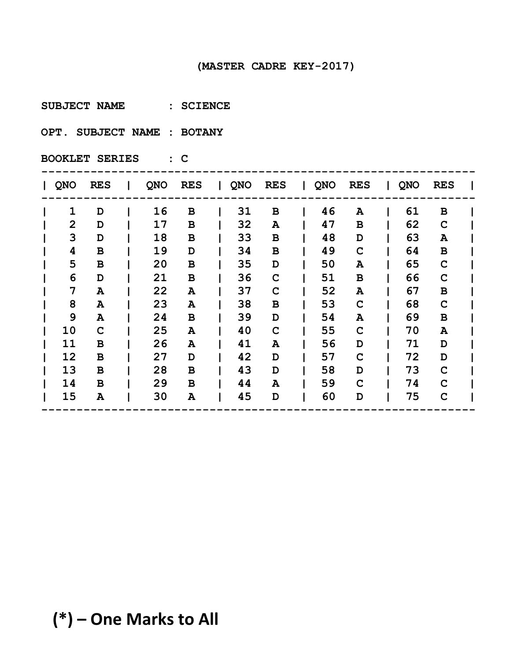**SUBJECT NAME : SCIENCE** 

**OPT. SUBJECT NAME : BOTANY** 

| QNO            | <b>RES</b> | <b>QNO</b> | <b>RES</b> | $\mathbf{I}$ | QNO | <b>RES</b>  | $\mathbf{I}$ | <b>QNO</b> | <b>RES</b>  | QNO | <b>RES</b>  |  |
|----------------|------------|------------|------------|--------------|-----|-------------|--------------|------------|-------------|-----|-------------|--|
| 1              | D          | 16         | B          |              | 31  | в           |              | 46         | ${\bf A}$   | 61  | В           |  |
| $\overline{2}$ | D          | 17         | B          |              | 32  | A           |              | 47         | $\mathbf B$ | 62  | $\mathbf C$ |  |
| 3              | D          | 18         | B          |              | 33  | в           |              | 48         | D           | 63  | A           |  |
| 4              | B          | 19         | D          |              | 34  | B           |              | 49         | $\mathbf C$ | 64  | $\mathbf B$ |  |
| 5              | B          | 20         | B          |              | 35  | D           |              | 50         | A           | 65  | $\mathbf C$ |  |
| 6              | D          | 21         | B          |              | 36  | $\mathbf C$ |              | 51         | B           | 66  | $\mathbf C$ |  |
| 7              | A          | 22         | A          |              | 37  | C           |              | 52         | A           | 67  | В           |  |
| 8              | A          | 23         | A          |              | 38  | в           |              | 53         | $\mathbf C$ | 68  | $\mathbf C$ |  |
| 9              | A          | 24         | B          |              | 39  | D           |              | 54         | A           | 69  | В           |  |
| 10             | C          | 25         | A          |              | 40  | C           |              | 55         | $\mathbf C$ | 70  | A           |  |
| 11             | в          | 26         | A          |              | 41  | A           |              | 56         | D           | 71  | D           |  |
| 12             | B          | 27         | D          |              | 42  | D           |              | 57         | $\mathbf C$ | 72  | D           |  |
| 13             | B          | 28         | B          |              | 43  | D           |              | 58         | D           | 73  | $\mathbf C$ |  |
| 14             | B          | 29         | B          |              | 44  | A           |              | 59         | $\mathbf C$ | 74  | $\mathbf C$ |  |
| 15             | A          | 30         | Α          |              | 45  | D           |              | 60         | D           | 75  | $\mathbf C$ |  |
|                |            |            |            |              |     |             |              |            |             |     |             |  |